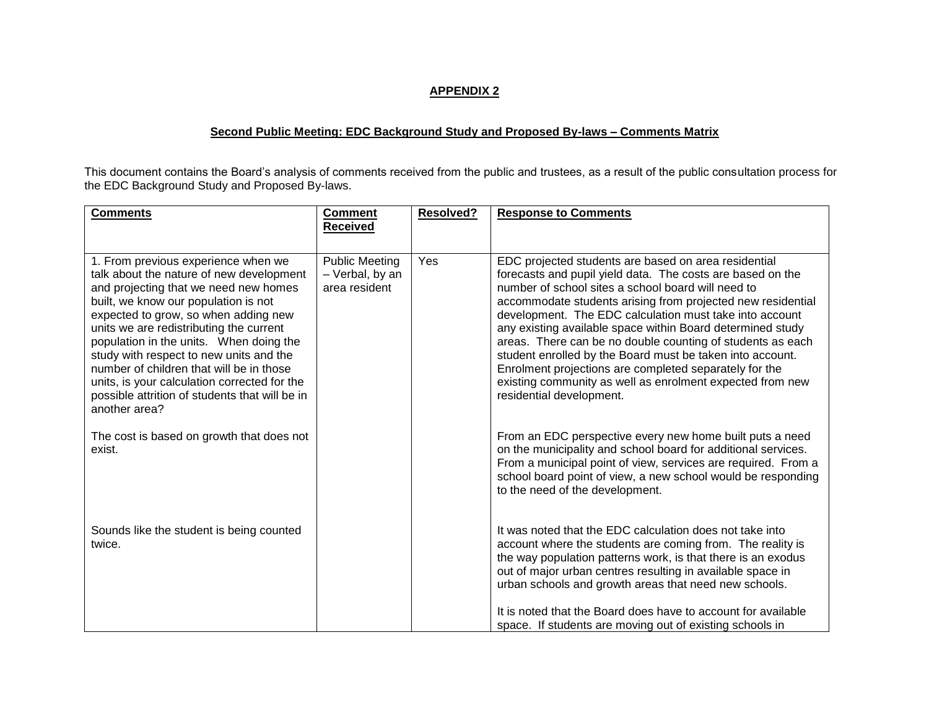## **APPENDIX 2**

## **Second Public Meeting: EDC Background Study and Proposed By-laws – Comments Matrix**

This document contains the Board's analysis of comments received from the public and trustees, as a result of the public consultation process for the EDC Background Study and Proposed By-laws.

| <b>Comments</b>                                                                                                                                                                                                                                                                                                                                                                                                                                                                                          | <b>Comment</b>                                            | <b>Resolved?</b> | <b>Response to Comments</b>                                                                                                                                                                                                                                                                                                                                                                                                                                                                                                                                                                                                                    |
|----------------------------------------------------------------------------------------------------------------------------------------------------------------------------------------------------------------------------------------------------------------------------------------------------------------------------------------------------------------------------------------------------------------------------------------------------------------------------------------------------------|-----------------------------------------------------------|------------------|------------------------------------------------------------------------------------------------------------------------------------------------------------------------------------------------------------------------------------------------------------------------------------------------------------------------------------------------------------------------------------------------------------------------------------------------------------------------------------------------------------------------------------------------------------------------------------------------------------------------------------------------|
|                                                                                                                                                                                                                                                                                                                                                                                                                                                                                                          | <b>Received</b>                                           |                  |                                                                                                                                                                                                                                                                                                                                                                                                                                                                                                                                                                                                                                                |
|                                                                                                                                                                                                                                                                                                                                                                                                                                                                                                          |                                                           |                  |                                                                                                                                                                                                                                                                                                                                                                                                                                                                                                                                                                                                                                                |
| 1. From previous experience when we<br>talk about the nature of new development<br>and projecting that we need new homes<br>built, we know our population is not<br>expected to grow, so when adding new<br>units we are redistributing the current<br>population in the units. When doing the<br>study with respect to new units and the<br>number of children that will be in those<br>units, is your calculation corrected for the<br>possible attrition of students that will be in<br>another area? | <b>Public Meeting</b><br>- Verbal, by an<br>area resident | Yes              | EDC projected students are based on area residential<br>forecasts and pupil yield data. The costs are based on the<br>number of school sites a school board will need to<br>accommodate students arising from projected new residential<br>development. The EDC calculation must take into account<br>any existing available space within Board determined study<br>areas. There can be no double counting of students as each<br>student enrolled by the Board must be taken into account.<br>Enrolment projections are completed separately for the<br>existing community as well as enrolment expected from new<br>residential development. |
| The cost is based on growth that does not<br>exist.                                                                                                                                                                                                                                                                                                                                                                                                                                                      |                                                           |                  | From an EDC perspective every new home built puts a need<br>on the municipality and school board for additional services.<br>From a municipal point of view, services are required. From a<br>school board point of view, a new school would be responding<br>to the need of the development.                                                                                                                                                                                                                                                                                                                                                  |
| Sounds like the student is being counted<br>twice.                                                                                                                                                                                                                                                                                                                                                                                                                                                       |                                                           |                  | It was noted that the EDC calculation does not take into<br>account where the students are coming from. The reality is<br>the way population patterns work, is that there is an exodus<br>out of major urban centres resulting in available space in<br>urban schools and growth areas that need new schools.<br>It is noted that the Board does have to account for available<br>space. If students are moving out of existing schools in                                                                                                                                                                                                     |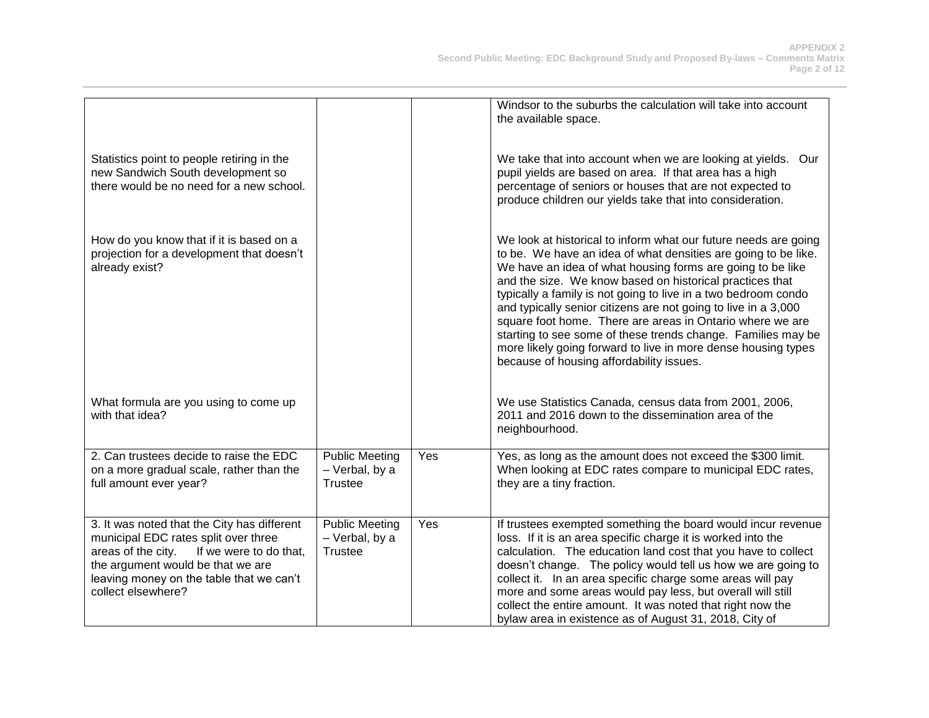|                                                                                                                                                                                                                                            |                                                           |     | Windsor to the suburbs the calculation will take into account<br>the available space.                                                                                                                                                                                                                                                                                                                                                                                                                                                                                                                                                     |
|--------------------------------------------------------------------------------------------------------------------------------------------------------------------------------------------------------------------------------------------|-----------------------------------------------------------|-----|-------------------------------------------------------------------------------------------------------------------------------------------------------------------------------------------------------------------------------------------------------------------------------------------------------------------------------------------------------------------------------------------------------------------------------------------------------------------------------------------------------------------------------------------------------------------------------------------------------------------------------------------|
| Statistics point to people retiring in the<br>new Sandwich South development so<br>there would be no need for a new school.                                                                                                                |                                                           |     | We take that into account when we are looking at yields. Our<br>pupil yields are based on area. If that area has a high<br>percentage of seniors or houses that are not expected to<br>produce children our yields take that into consideration.                                                                                                                                                                                                                                                                                                                                                                                          |
| How do you know that if it is based on a<br>projection for a development that doesn't<br>already exist?                                                                                                                                    |                                                           |     | We look at historical to inform what our future needs are going<br>to be. We have an idea of what densities are going to be like.<br>We have an idea of what housing forms are going to be like<br>and the size. We know based on historical practices that<br>typically a family is not going to live in a two bedroom condo<br>and typically senior citizens are not going to live in a 3,000<br>square foot home. There are areas in Ontario where we are<br>starting to see some of these trends change. Families may be<br>more likely going forward to live in more dense housing types<br>because of housing affordability issues. |
| What formula are you using to come up<br>with that idea?                                                                                                                                                                                   |                                                           |     | We use Statistics Canada, census data from 2001, 2006,<br>2011 and 2016 down to the dissemination area of the<br>neighbourhood.                                                                                                                                                                                                                                                                                                                                                                                                                                                                                                           |
| 2. Can trustees decide to raise the EDC<br>on a more gradual scale, rather than the<br>full amount ever year?                                                                                                                              | <b>Public Meeting</b><br>- Verbal, by a<br><b>Trustee</b> | Yes | Yes, as long as the amount does not exceed the \$300 limit.<br>When looking at EDC rates compare to municipal EDC rates,<br>they are a tiny fraction.                                                                                                                                                                                                                                                                                                                                                                                                                                                                                     |
| 3. It was noted that the City has different<br>municipal EDC rates split over three<br>areas of the city.<br>If we were to do that,<br>the argument would be that we are<br>leaving money on the table that we can't<br>collect elsewhere? | <b>Public Meeting</b><br>- Verbal, by a<br><b>Trustee</b> | Yes | If trustees exempted something the board would incur revenue<br>loss. If it is an area specific charge it is worked into the<br>calculation. The education land cost that you have to collect<br>doesn't change. The policy would tell us how we are going to<br>collect it. In an area specific charge some areas will pay<br>more and some areas would pay less, but overall will still<br>collect the entire amount. It was noted that right now the<br>bylaw area in existence as of August 31, 2018, City of                                                                                                                         |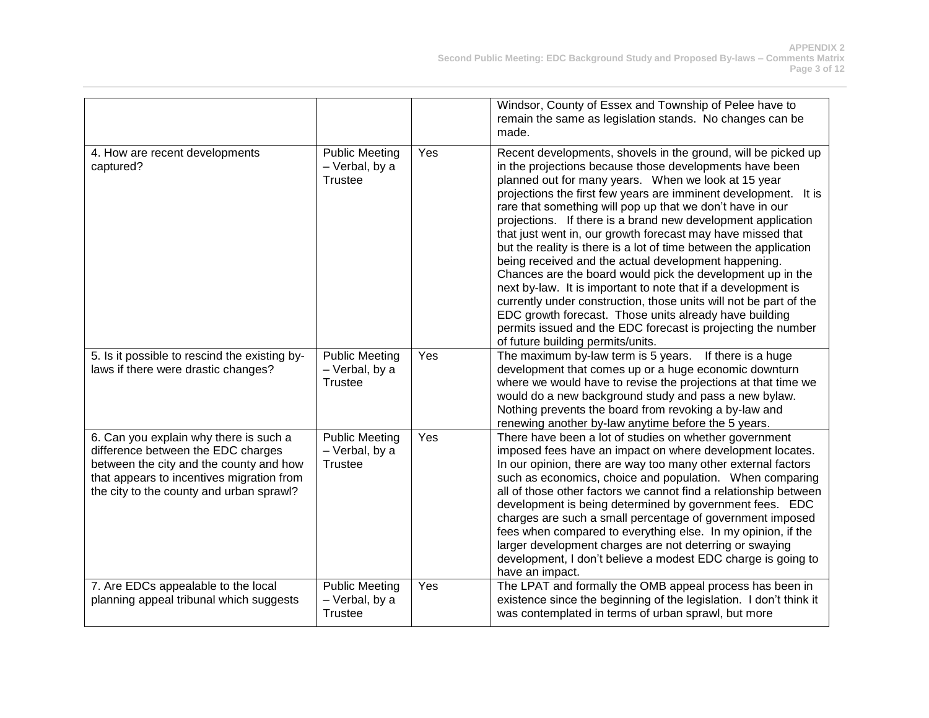|                                                                                                                                                                                                                  |                                                           |     | Windsor, County of Essex and Township of Pelee have to<br>remain the same as legislation stands. No changes can be<br>made.                                                                                                                                                                                                                                                                                                                                                                                                                                                                                                                                                                                                                                                                                                                                                                                                                    |
|------------------------------------------------------------------------------------------------------------------------------------------------------------------------------------------------------------------|-----------------------------------------------------------|-----|------------------------------------------------------------------------------------------------------------------------------------------------------------------------------------------------------------------------------------------------------------------------------------------------------------------------------------------------------------------------------------------------------------------------------------------------------------------------------------------------------------------------------------------------------------------------------------------------------------------------------------------------------------------------------------------------------------------------------------------------------------------------------------------------------------------------------------------------------------------------------------------------------------------------------------------------|
| 4. How are recent developments<br>captured?                                                                                                                                                                      | <b>Public Meeting</b><br>- Verbal, by a<br><b>Trustee</b> | Yes | Recent developments, shovels in the ground, will be picked up<br>in the projections because those developments have been<br>planned out for many years. When we look at 15 year<br>projections the first few years are imminent development. It is<br>rare that something will pop up that we don't have in our<br>projections. If there is a brand new development application<br>that just went in, our growth forecast may have missed that<br>but the reality is there is a lot of time between the application<br>being received and the actual development happening.<br>Chances are the board would pick the development up in the<br>next by-law. It is important to note that if a development is<br>currently under construction, those units will not be part of the<br>EDC growth forecast. Those units already have building<br>permits issued and the EDC forecast is projecting the number<br>of future building permits/units. |
| 5. Is it possible to rescind the existing by-<br>laws if there were drastic changes?                                                                                                                             | <b>Public Meeting</b><br>- Verbal, by a<br><b>Trustee</b> | Yes | The maximum by-law term is 5 years. If there is a huge<br>development that comes up or a huge economic downturn<br>where we would have to revise the projections at that time we<br>would do a new background study and pass a new bylaw.<br>Nothing prevents the board from revoking a by-law and<br>renewing another by-law anytime before the 5 years.                                                                                                                                                                                                                                                                                                                                                                                                                                                                                                                                                                                      |
| 6. Can you explain why there is such a<br>difference between the EDC charges<br>between the city and the county and how<br>that appears to incentives migration from<br>the city to the county and urban sprawl? | <b>Public Meeting</b><br>- Verbal, by a<br><b>Trustee</b> | Yes | There have been a lot of studies on whether government<br>imposed fees have an impact on where development locates.<br>In our opinion, there are way too many other external factors<br>such as economics, choice and population. When comparing<br>all of those other factors we cannot find a relationship between<br>development is being determined by government fees. EDC<br>charges are such a small percentage of government imposed<br>fees when compared to everything else. In my opinion, if the<br>larger development charges are not deterring or swaying<br>development, I don't believe a modest EDC charge is going to<br>have an impact.                                                                                                                                                                                                                                                                                     |
| 7. Are EDCs appealable to the local<br>planning appeal tribunal which suggests                                                                                                                                   | <b>Public Meeting</b><br>- Verbal, by a<br><b>Trustee</b> | Yes | The LPAT and formally the OMB appeal process has been in<br>existence since the beginning of the legislation. I don't think it<br>was contemplated in terms of urban sprawl, but more                                                                                                                                                                                                                                                                                                                                                                                                                                                                                                                                                                                                                                                                                                                                                          |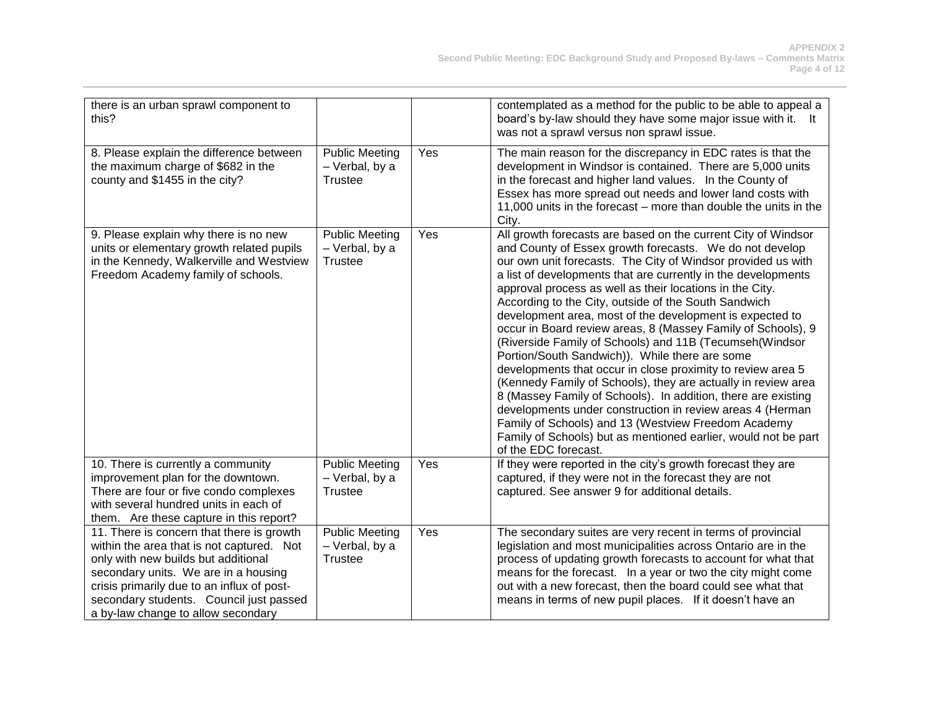| there is an urban sprawl component to<br>this?                                                                                                                                                                                                                                                       |                                                           |     | contemplated as a method for the public to be able to appeal a<br>board's by-law should they have some major issue with it. It<br>was not a sprawl versus non sprawl issue.                                                                                                                                                                                                                                                                                                                                                                                                                                                                                                                                                                                                                                                                                                                                                                                                                                                           |
|------------------------------------------------------------------------------------------------------------------------------------------------------------------------------------------------------------------------------------------------------------------------------------------------------|-----------------------------------------------------------|-----|---------------------------------------------------------------------------------------------------------------------------------------------------------------------------------------------------------------------------------------------------------------------------------------------------------------------------------------------------------------------------------------------------------------------------------------------------------------------------------------------------------------------------------------------------------------------------------------------------------------------------------------------------------------------------------------------------------------------------------------------------------------------------------------------------------------------------------------------------------------------------------------------------------------------------------------------------------------------------------------------------------------------------------------|
| 8. Please explain the difference between<br>the maximum charge of \$682 in the<br>county and \$1455 in the city?                                                                                                                                                                                     | <b>Public Meeting</b><br>- Verbal, by a<br><b>Trustee</b> | Yes | The main reason for the discrepancy in EDC rates is that the<br>development in Windsor is contained. There are 5,000 units<br>in the forecast and higher land values. In the County of<br>Essex has more spread out needs and lower land costs with<br>11,000 units in the forecast – more than double the units in the<br>City.                                                                                                                                                                                                                                                                                                                                                                                                                                                                                                                                                                                                                                                                                                      |
| 9. Please explain why there is no new<br>units or elementary growth related pupils<br>in the Kennedy, Walkerville and Westview<br>Freedom Academy family of schools.                                                                                                                                 | <b>Public Meeting</b><br>- Verbal, by a<br><b>Trustee</b> | Yes | All growth forecasts are based on the current City of Windsor<br>and County of Essex growth forecasts. We do not develop<br>our own unit forecasts. The City of Windsor provided us with<br>a list of developments that are currently in the developments<br>approval process as well as their locations in the City.<br>According to the City, outside of the South Sandwich<br>development area, most of the development is expected to<br>occur in Board review areas, 8 (Massey Family of Schools), 9<br>(Riverside Family of Schools) and 11B (Tecumseh(Windsor<br>Portion/South Sandwich)). While there are some<br>developments that occur in close proximity to review area 5<br>(Kennedy Family of Schools), they are actually in review area<br>8 (Massey Family of Schools). In addition, there are existing<br>developments under construction in review areas 4 (Herman<br>Family of Schools) and 13 (Westview Freedom Academy<br>Family of Schools) but as mentioned earlier, would not be part<br>of the EDC forecast. |
| 10. There is currently a community<br>improvement plan for the downtown.<br>There are four or five condo complexes<br>with several hundred units in each of<br>them. Are these capture in this report?                                                                                               | <b>Public Meeting</b><br>- Verbal, by a<br><b>Trustee</b> | Yes | If they were reported in the city's growth forecast they are<br>captured, if they were not in the forecast they are not<br>captured. See answer 9 for additional details.                                                                                                                                                                                                                                                                                                                                                                                                                                                                                                                                                                                                                                                                                                                                                                                                                                                             |
| 11. There is concern that there is growth<br>within the area that is not captured. Not<br>only with new builds but additional<br>secondary units. We are in a housing<br>crisis primarily due to an influx of post-<br>secondary students. Council just passed<br>a by-law change to allow secondary | <b>Public Meeting</b><br>- Verbal, by a<br><b>Trustee</b> | Yes | The secondary suites are very recent in terms of provincial<br>legislation and most municipalities across Ontario are in the<br>process of updating growth forecasts to account for what that<br>means for the forecast. In a year or two the city might come<br>out with a new forecast, then the board could see what that<br>means in terms of new pupil places. If it doesn't have an                                                                                                                                                                                                                                                                                                                                                                                                                                                                                                                                                                                                                                             |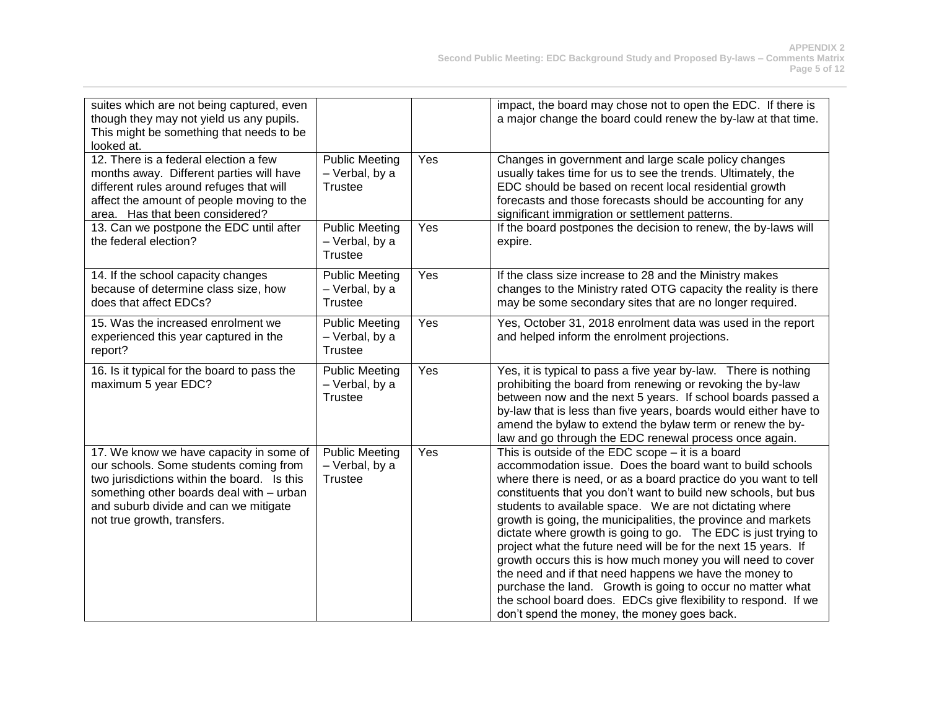| suites which are not being captured, even<br>though they may not yield us any pupils.<br>This might be something that needs to be<br>looked at.                                                                                                      |                                                           |     | impact, the board may chose not to open the EDC. If there is<br>a major change the board could renew the by-law at that time.                                                                                                                                                                                                                                                                                                                                                                                                                                                                                                                                                                                                                                                                                                |
|------------------------------------------------------------------------------------------------------------------------------------------------------------------------------------------------------------------------------------------------------|-----------------------------------------------------------|-----|------------------------------------------------------------------------------------------------------------------------------------------------------------------------------------------------------------------------------------------------------------------------------------------------------------------------------------------------------------------------------------------------------------------------------------------------------------------------------------------------------------------------------------------------------------------------------------------------------------------------------------------------------------------------------------------------------------------------------------------------------------------------------------------------------------------------------|
| 12. There is a federal election a few<br>months away. Different parties will have<br>different rules around refuges that will<br>affect the amount of people moving to the<br>area. Has that been considered?                                        | <b>Public Meeting</b><br>- Verbal, by a<br><b>Trustee</b> | Yes | Changes in government and large scale policy changes<br>usually takes time for us to see the trends. Ultimately, the<br>EDC should be based on recent local residential growth<br>forecasts and those forecasts should be accounting for any<br>significant immigration or settlement patterns.                                                                                                                                                                                                                                                                                                                                                                                                                                                                                                                              |
| 13. Can we postpone the EDC until after<br>the federal election?                                                                                                                                                                                     | <b>Public Meeting</b><br>- Verbal, by a<br><b>Trustee</b> | Yes | If the board postpones the decision to renew, the by-laws will<br>expire.                                                                                                                                                                                                                                                                                                                                                                                                                                                                                                                                                                                                                                                                                                                                                    |
| 14. If the school capacity changes<br>because of determine class size, how<br>does that affect EDCs?                                                                                                                                                 | <b>Public Meeting</b><br>- Verbal, by a<br><b>Trustee</b> | Yes | If the class size increase to 28 and the Ministry makes<br>changes to the Ministry rated OTG capacity the reality is there<br>may be some secondary sites that are no longer required.                                                                                                                                                                                                                                                                                                                                                                                                                                                                                                                                                                                                                                       |
| 15. Was the increased enrolment we<br>experienced this year captured in the<br>report?                                                                                                                                                               | <b>Public Meeting</b><br>- Verbal, by a<br><b>Trustee</b> | Yes | Yes, October 31, 2018 enrolment data was used in the report<br>and helped inform the enrolment projections.                                                                                                                                                                                                                                                                                                                                                                                                                                                                                                                                                                                                                                                                                                                  |
| 16. Is it typical for the board to pass the<br>maximum 5 year EDC?                                                                                                                                                                                   | <b>Public Meeting</b><br>- Verbal, by a<br><b>Trustee</b> | Yes | Yes, it is typical to pass a five year by-law. There is nothing<br>prohibiting the board from renewing or revoking the by-law<br>between now and the next 5 years. If school boards passed a<br>by-law that is less than five years, boards would either have to<br>amend the bylaw to extend the bylaw term or renew the by-<br>law and go through the EDC renewal process once again.                                                                                                                                                                                                                                                                                                                                                                                                                                      |
| 17. We know we have capacity in some of<br>our schools. Some students coming from<br>two jurisdictions within the board. Is this<br>something other boards deal with - urban<br>and suburb divide and can we mitigate<br>not true growth, transfers. | <b>Public Meeting</b><br>- Verbal, by a<br><b>Trustee</b> | Yes | This is outside of the EDC scope $-$ it is a board<br>accommodation issue. Does the board want to build schools<br>where there is need, or as a board practice do you want to tell<br>constituents that you don't want to build new schools, but bus<br>students to available space. We are not dictating where<br>growth is going, the municipalities, the province and markets<br>dictate where growth is going to go. The EDC is just trying to<br>project what the future need will be for the next 15 years. If<br>growth occurs this is how much money you will need to cover<br>the need and if that need happens we have the money to<br>purchase the land. Growth is going to occur no matter what<br>the school board does. EDCs give flexibility to respond. If we<br>don't spend the money, the money goes back. |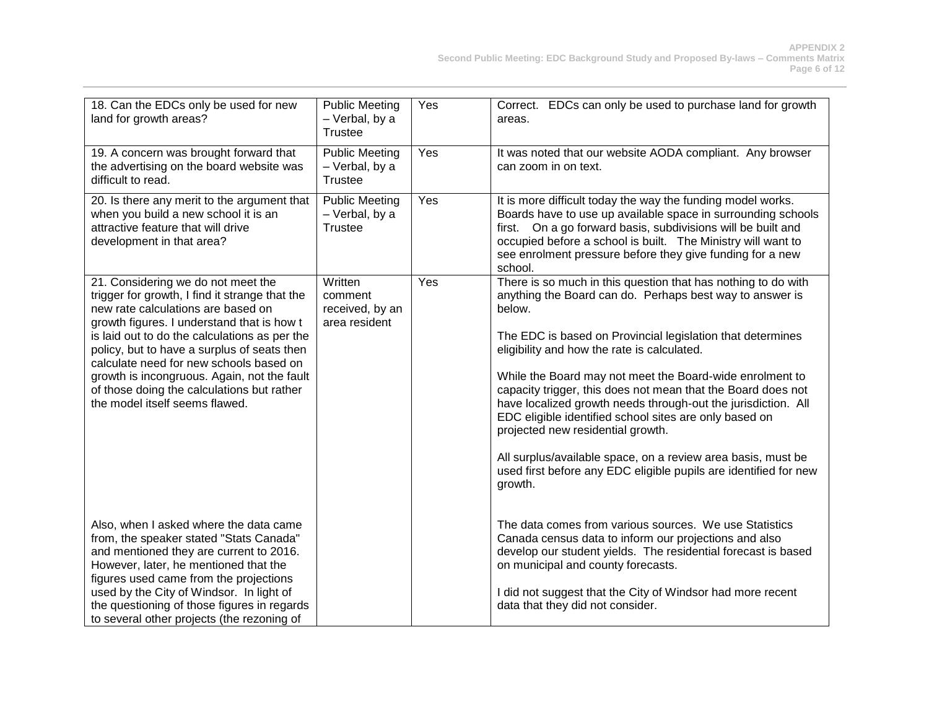| 18. Can the EDCs only be used for new<br>land for growth areas?                                                                                                                                                 | <b>Public Meeting</b><br>- Verbal, by a<br>Trustee        | Yes | Correct. EDCs can only be used to purchase land for growth<br>areas.                                                                                                                                                                                                                                                                |
|-----------------------------------------------------------------------------------------------------------------------------------------------------------------------------------------------------------------|-----------------------------------------------------------|-----|-------------------------------------------------------------------------------------------------------------------------------------------------------------------------------------------------------------------------------------------------------------------------------------------------------------------------------------|
| 19. A concern was brought forward that<br>the advertising on the board website was<br>difficult to read.                                                                                                        | <b>Public Meeting</b><br>- Verbal, by a<br><b>Trustee</b> | Yes | It was noted that our website AODA compliant. Any browser<br>can zoom in on text.                                                                                                                                                                                                                                                   |
| 20. Is there any merit to the argument that<br>when you build a new school it is an<br>attractive feature that will drive<br>development in that area?                                                          | <b>Public Meeting</b><br>- Verbal, by a<br><b>Trustee</b> | Yes | It is more difficult today the way the funding model works.<br>Boards have to use up available space in surrounding schools<br>first. On a go forward basis, subdivisions will be built and<br>occupied before a school is built. The Ministry will want to<br>see enrolment pressure before they give funding for a new<br>school. |
| 21. Considering we do not meet the<br>trigger for growth, I find it strange that the<br>new rate calculations are based on<br>growth figures. I understand that is how t                                        | Written<br>comment<br>received, by an<br>area resident    | Yes | There is so much in this question that has nothing to do with<br>anything the Board can do. Perhaps best way to answer is<br>below.                                                                                                                                                                                                 |
| is laid out to do the calculations as per the<br>policy, but to have a surplus of seats then<br>calculate need for new schools based on                                                                         |                                                           |     | The EDC is based on Provincial legislation that determines<br>eligibility and how the rate is calculated.                                                                                                                                                                                                                           |
| growth is incongruous. Again, not the fault<br>of those doing the calculations but rather<br>the model itself seems flawed.                                                                                     |                                                           |     | While the Board may not meet the Board-wide enrolment to<br>capacity trigger, this does not mean that the Board does not<br>have localized growth needs through-out the jurisdiction. All<br>EDC eligible identified school sites are only based on<br>projected new residential growth.                                            |
|                                                                                                                                                                                                                 |                                                           |     | All surplus/available space, on a review area basis, must be<br>used first before any EDC eligible pupils are identified for new<br>growth.                                                                                                                                                                                         |
| Also, when I asked where the data came<br>from, the speaker stated "Stats Canada"<br>and mentioned they are current to 2016.<br>However, later, he mentioned that the<br>figures used came from the projections |                                                           |     | The data comes from various sources. We use Statistics<br>Canada census data to inform our projections and also<br>develop our student yields. The residential forecast is based<br>on municipal and county forecasts.                                                                                                              |
| used by the City of Windsor. In light of<br>the questioning of those figures in regards<br>to several other projects (the rezoning of                                                                           |                                                           |     | I did not suggest that the City of Windsor had more recent<br>data that they did not consider.                                                                                                                                                                                                                                      |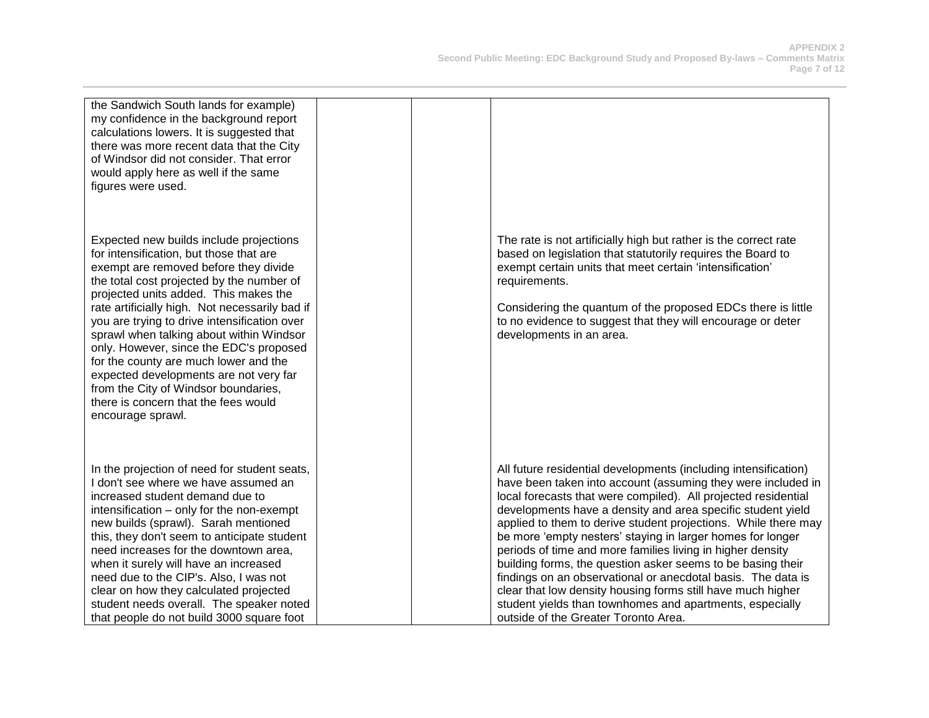| the Sandwich South lands for example)<br>my confidence in the background report<br>calculations lowers. It is suggested that<br>there was more recent data that the City<br>of Windsor did not consider. That error<br>would apply here as well if the same<br>figures were used.                                                                                                                                                                                                                                                                                                                  |                                                                                                                                                                                                                                                                                                                                                                                                                                                                                                                                                                                                                                                                                                                                                                  |
|----------------------------------------------------------------------------------------------------------------------------------------------------------------------------------------------------------------------------------------------------------------------------------------------------------------------------------------------------------------------------------------------------------------------------------------------------------------------------------------------------------------------------------------------------------------------------------------------------|------------------------------------------------------------------------------------------------------------------------------------------------------------------------------------------------------------------------------------------------------------------------------------------------------------------------------------------------------------------------------------------------------------------------------------------------------------------------------------------------------------------------------------------------------------------------------------------------------------------------------------------------------------------------------------------------------------------------------------------------------------------|
| Expected new builds include projections<br>for intensification, but those that are<br>exempt are removed before they divide<br>the total cost projected by the number of<br>projected units added. This makes the<br>rate artificially high. Not necessarily bad if<br>you are trying to drive intensification over<br>sprawl when talking about within Windsor<br>only. However, since the EDC's proposed<br>for the county are much lower and the<br>expected developments are not very far<br>from the City of Windsor boundaries,<br>there is concern that the fees would<br>encourage sprawl. | The rate is not artificially high but rather is the correct rate<br>based on legislation that statutorily requires the Board to<br>exempt certain units that meet certain 'intensification'<br>requirements.<br>Considering the quantum of the proposed EDCs there is little<br>to no evidence to suggest that they will encourage or deter<br>developments in an area.                                                                                                                                                                                                                                                                                                                                                                                          |
| In the projection of need for student seats,<br>I don't see where we have assumed an<br>increased student demand due to<br>intensification – only for the non-exempt<br>new builds (sprawl). Sarah mentioned<br>this, they don't seem to anticipate student<br>need increases for the downtown area,<br>when it surely will have an increased<br>need due to the CIP's. Also, I was not<br>clear on how they calculated projected<br>student needs overall. The speaker noted<br>that people do not build 3000 square foot                                                                         | All future residential developments (including intensification)<br>have been taken into account (assuming they were included in<br>local forecasts that were compiled). All projected residential<br>developments have a density and area specific student yield<br>applied to them to derive student projections. While there may<br>be more 'empty nesters' staying in larger homes for longer<br>periods of time and more families living in higher density<br>building forms, the question asker seems to be basing their<br>findings on an observational or anecdotal basis. The data is<br>clear that low density housing forms still have much higher<br>student yields than townhomes and apartments, especially<br>outside of the Greater Toronto Area. |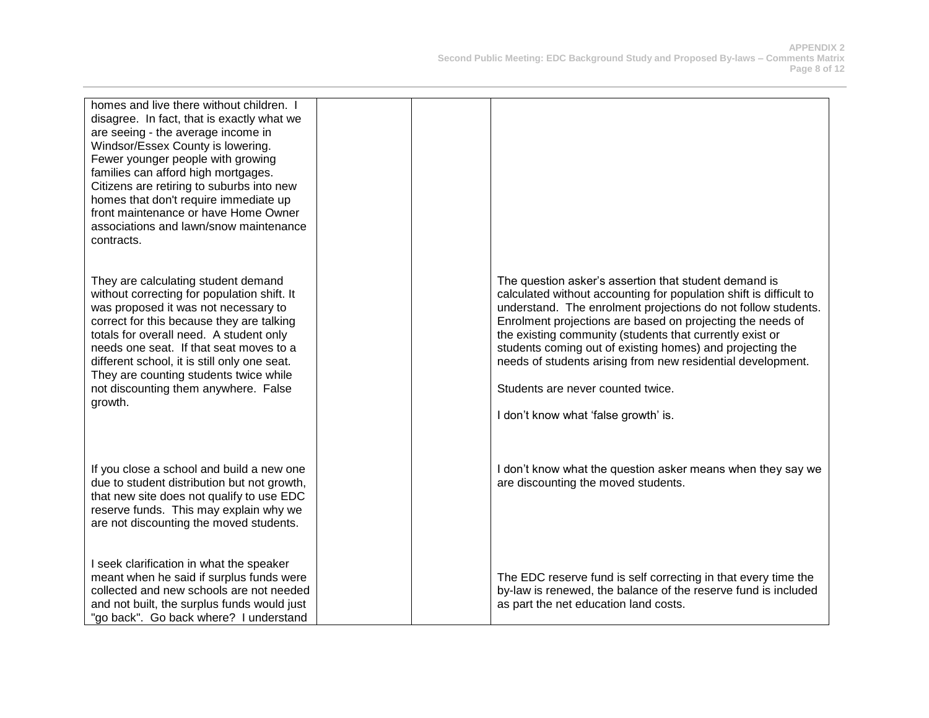| homes and live there without children. I<br>disagree. In fact, that is exactly what we<br>are seeing - the average income in<br>Windsor/Essex County is lowering.<br>Fewer younger people with growing<br>families can afford high mortgages.<br>Citizens are retiring to suburbs into new<br>homes that don't require immediate up<br>front maintenance or have Home Owner<br>associations and lawn/snow maintenance<br>contracts. |  |                                                                                                                                                                                                                                                                                                                                                                                                                                                                                                                                 |
|-------------------------------------------------------------------------------------------------------------------------------------------------------------------------------------------------------------------------------------------------------------------------------------------------------------------------------------------------------------------------------------------------------------------------------------|--|---------------------------------------------------------------------------------------------------------------------------------------------------------------------------------------------------------------------------------------------------------------------------------------------------------------------------------------------------------------------------------------------------------------------------------------------------------------------------------------------------------------------------------|
| They are calculating student demand<br>without correcting for population shift. It<br>was proposed it was not necessary to<br>correct for this because they are talking<br>totals for overall need. A student only<br>needs one seat. If that seat moves to a<br>different school, it is still only one seat.<br>They are counting students twice while<br>not discounting them anywhere. False<br>growth.                          |  | The question asker's assertion that student demand is<br>calculated without accounting for population shift is difficult to<br>understand. The enrolment projections do not follow students.<br>Enrolment projections are based on projecting the needs of<br>the existing community (students that currently exist or<br>students coming out of existing homes) and projecting the<br>needs of students arising from new residential development.<br>Students are never counted twice.<br>I don't know what 'false growth' is. |
| If you close a school and build a new one<br>due to student distribution but not growth,<br>that new site does not qualify to use EDC<br>reserve funds. This may explain why we<br>are not discounting the moved students.                                                                                                                                                                                                          |  | I don't know what the question asker means when they say we<br>are discounting the moved students.                                                                                                                                                                                                                                                                                                                                                                                                                              |
| I seek clarification in what the speaker<br>meant when he said if surplus funds were<br>collected and new schools are not needed<br>and not built, the surplus funds would just<br>"go back". Go back where? I understand                                                                                                                                                                                                           |  | The EDC reserve fund is self correcting in that every time the<br>by-law is renewed, the balance of the reserve fund is included<br>as part the net education land costs.                                                                                                                                                                                                                                                                                                                                                       |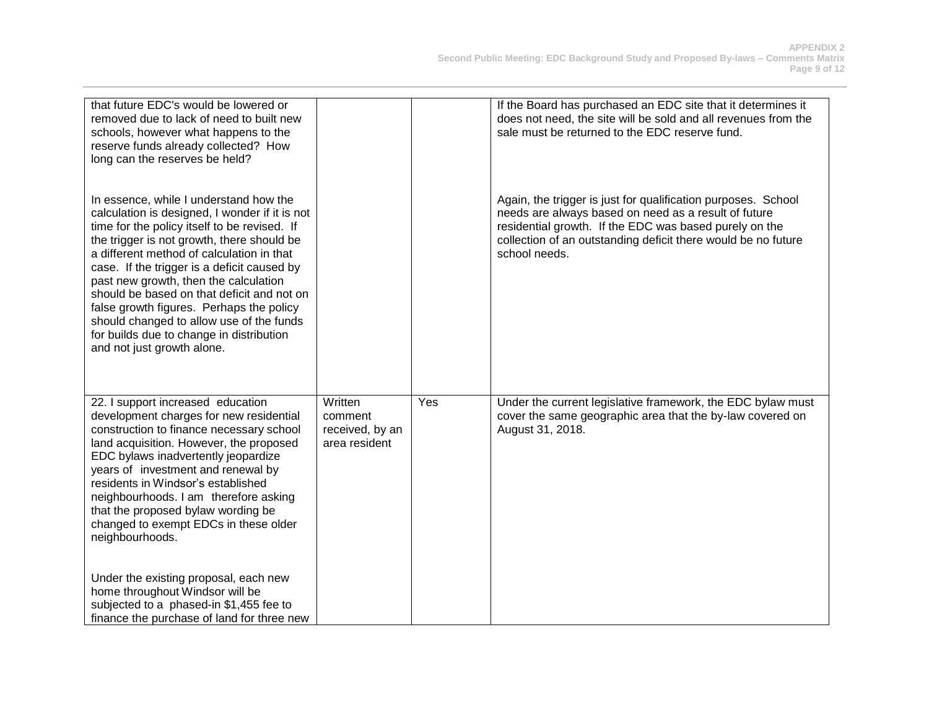| that future EDC's would be lowered or<br>removed due to lack of need to built new<br>schools, however what happens to the<br>reserve funds already collected? How<br>long can the reserves be held?                                                                                                                                                                                                                                                                                                                                         |                                                        |     | If the Board has purchased an EDC site that it determines it<br>does not need, the site will be sold and all revenues from the<br>sale must be returned to the EDC reserve fund.                                                                                  |
|---------------------------------------------------------------------------------------------------------------------------------------------------------------------------------------------------------------------------------------------------------------------------------------------------------------------------------------------------------------------------------------------------------------------------------------------------------------------------------------------------------------------------------------------|--------------------------------------------------------|-----|-------------------------------------------------------------------------------------------------------------------------------------------------------------------------------------------------------------------------------------------------------------------|
| In essence, while I understand how the<br>calculation is designed, I wonder if it is not<br>time for the policy itself to be revised. If<br>the trigger is not growth, there should be<br>a different method of calculation in that<br>case. If the trigger is a deficit caused by<br>past new growth, then the calculation<br>should be based on that deficit and not on<br>false growth figures. Perhaps the policy<br>should changed to allow use of the funds<br>for builds due to change in distribution<br>and not just growth alone. |                                                        |     | Again, the trigger is just for qualification purposes. School<br>needs are always based on need as a result of future<br>residential growth. If the EDC was based purely on the<br>collection of an outstanding deficit there would be no future<br>school needs. |
| 22. I support increased education<br>development charges for new residential<br>construction to finance necessary school<br>land acquisition. However, the proposed<br>EDC bylaws inadvertently jeopardize<br>years of investment and renewal by<br>residents in Windsor's established<br>neighbourhoods. I am therefore asking<br>that the proposed bylaw wording be<br>changed to exempt EDCs in these older<br>neighbourhoods.                                                                                                           | Written<br>comment<br>received, by an<br>area resident | Yes | Under the current legislative framework, the EDC bylaw must<br>cover the same geographic area that the by-law covered on<br>August 31, 2018.                                                                                                                      |
| Under the existing proposal, each new<br>home throughout Windsor will be<br>subjected to a phased-in \$1,455 fee to<br>finance the purchase of land for three new                                                                                                                                                                                                                                                                                                                                                                           |                                                        |     |                                                                                                                                                                                                                                                                   |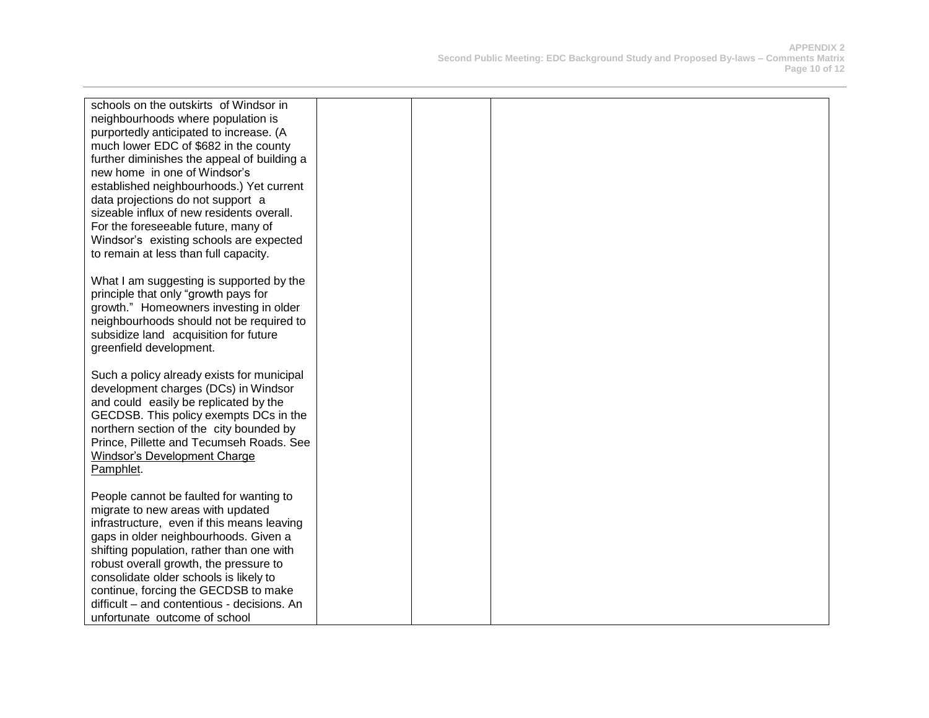| schools on the outskirts of Windsor in      |  |  |
|---------------------------------------------|--|--|
| neighbourhoods where population is          |  |  |
| purportedly anticipated to increase. (A     |  |  |
| much lower EDC of \$682 in the county       |  |  |
| further diminishes the appeal of building a |  |  |
| new home in one of Windsor's                |  |  |
| established neighbourhoods.) Yet current    |  |  |
| data projections do not support a           |  |  |
| sizeable influx of new residents overall.   |  |  |
| For the foreseeable future, many of         |  |  |
| Windsor's existing schools are expected     |  |  |
| to remain at less than full capacity.       |  |  |
|                                             |  |  |
| What I am suggesting is supported by the    |  |  |
| principle that only "growth pays for        |  |  |
| growth." Homeowners investing in older      |  |  |
| neighbourhoods should not be required to    |  |  |
| subsidize land acquisition for future       |  |  |
| greenfield development.                     |  |  |
|                                             |  |  |
| Such a policy already exists for municipal  |  |  |
| development charges (DCs) in Windsor        |  |  |
| and could easily be replicated by the       |  |  |
| GECDSB. This policy exempts DCs in the      |  |  |
| northern section of the city bounded by     |  |  |
| Prince, Pillette and Tecumseh Roads. See    |  |  |
| Windsor's Development Charge<br>Pamphlet.   |  |  |
|                                             |  |  |
| People cannot be faulted for wanting to     |  |  |
| migrate to new areas with updated           |  |  |
| infrastructure, even if this means leaving  |  |  |
| gaps in older neighbourhoods. Given a       |  |  |
| shifting population, rather than one with   |  |  |
| robust overall growth, the pressure to      |  |  |
| consolidate older schools is likely to      |  |  |
| continue, forcing the GECDSB to make        |  |  |
| difficult - and contentious - decisions. An |  |  |
| unfortunate outcome of school               |  |  |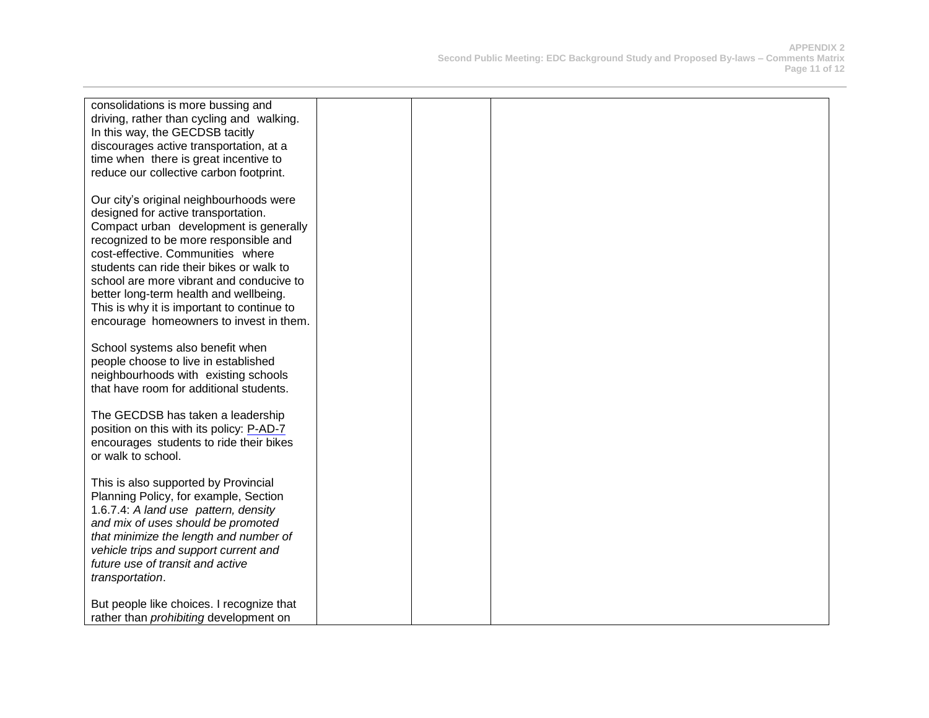| consolidations is more bussing and            |  |  |
|-----------------------------------------------|--|--|
| driving, rather than cycling and walking.     |  |  |
| In this way, the GECDSB tacitly               |  |  |
| discourages active transportation, at a       |  |  |
| time when there is great incentive to         |  |  |
| reduce our collective carbon footprint.       |  |  |
|                                               |  |  |
| Our city's original neighbourhoods were       |  |  |
| designed for active transportation.           |  |  |
| Compact urban development is generally        |  |  |
| recognized to be more responsible and         |  |  |
| cost-effective. Communities where             |  |  |
| students can ride their bikes or walk to      |  |  |
| school are more vibrant and conducive to      |  |  |
| better long-term health and wellbeing.        |  |  |
| This is why it is important to continue to    |  |  |
| encourage homeowners to invest in them.       |  |  |
|                                               |  |  |
| School systems also benefit when              |  |  |
| people choose to live in established          |  |  |
| neighbourhoods with existing schools          |  |  |
| that have room for additional students.       |  |  |
|                                               |  |  |
| The GECDSB has taken a leadership             |  |  |
| position on this with its policy: P-AD-7      |  |  |
| encourages students to ride their bikes       |  |  |
| or walk to school.                            |  |  |
|                                               |  |  |
| This is also supported by Provincial          |  |  |
| Planning Policy, for example, Section         |  |  |
| 1.6.7.4: A land use pattern, density          |  |  |
| and mix of uses should be promoted            |  |  |
| that minimize the length and number of        |  |  |
| vehicle trips and support current and         |  |  |
| future use of transit and active              |  |  |
| transportation.                               |  |  |
|                                               |  |  |
| But people like choices. I recognize that     |  |  |
| rather than <i>prohibiting</i> development on |  |  |